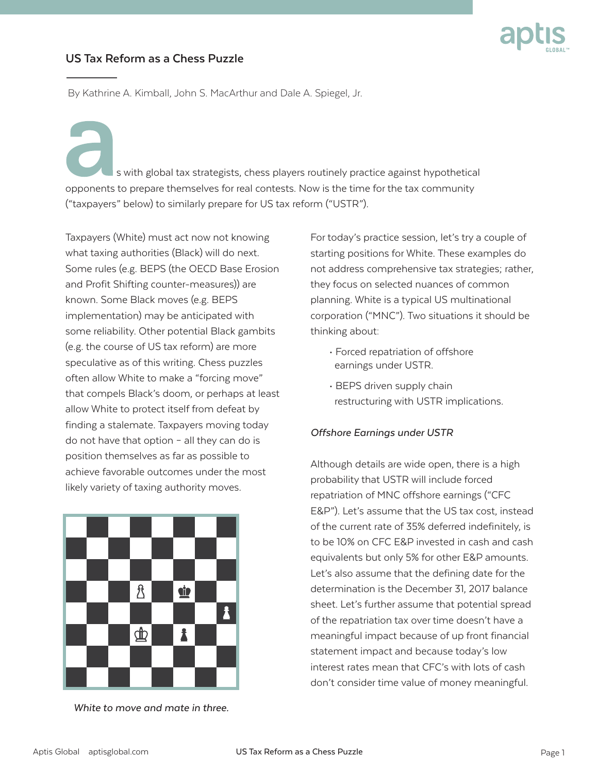

## **US Tax Reform as a Chess Puzzle**

By Kathrine A. Kimball, John S. MacArthur and Dale A. Spiegel, Jr.

 $\overline{a}$  s with global tax strategists, chess players routinely practice against hypothetical opponents to prepare themselves for real contests. Now is the time for the tax community ("taxpayers" below) to similarly prepare for US tax reform ("USTR").

Taxpayers (White) must act now not knowing what taxing authorities (Black) will do next. Some rules (e.g. BEPS (the OECD Base Erosion and Profit Shifting counter-measures)) are known. Some Black moves (e.g. BEPS implementation) may be anticipated with some reliability. Other potential Black gambits (e.g. the course of US tax reform) are more speculative as of this writing. Chess puzzles often allow White to make a "forcing move" that compels Black's doom, or perhaps at least allow White to protect itself from defeat by finding a stalemate. Taxpayers moving today do not have that option – all they can do is position themselves as far as possible to achieve favorable outcomes under the most likely variety of taxing authority moves.



*White to move and mate in three.*

For today's practice session, let's try a couple of starting positions for White. These examples do not address comprehensive tax strategies; rather, they focus on selected nuances of common planning. White is a typical US multinational corporation ("MNC"). Two situations it should be thinking about:

- Forced repatriation of offshore earnings under USTR.
- BEPS driven supply chain restructuring with USTR implications.

## *Offshore Earnings under USTR*

Although details are wide open, there is a high probability that USTR will include forced repatriation of MNC offshore earnings ("CFC E&P"). Let's assume that the US tax cost, instead of the current rate of 35% deferred indefinitely, is to be 10% on CFC E&P invested in cash and cash equivalents but only 5% for other E&P amounts. Let's also assume that the defining date for the determination is the December 31, 2017 balance sheet. Let's further assume that potential spread of the repatriation tax over time doesn't have a meaningful impact because of up front financial statement impact and because today's low interest rates mean that CFC's with lots of cash don't consider time value of money meaningful.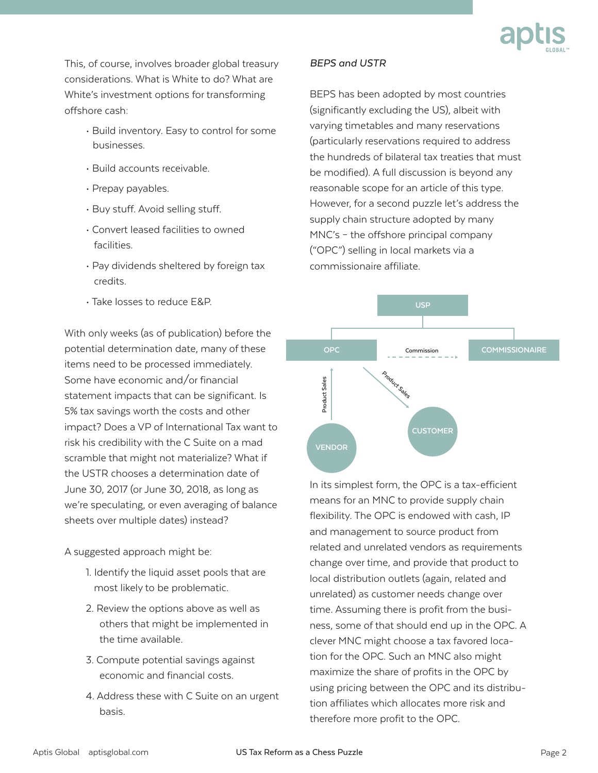

This, of course, involves broader global treasury considerations. What is White to do? What are White's investment options for transforming offshore cash:

- Build inventory. Easy to control for some businesses.
- Build accounts receivable.
- Prepay payables.
- Buy stuff. Avoid selling stuff.
- Convert leased facilities to owned facilities.
- Pay dividends sheltered by foreign tax credits.
- Take losses to reduce E&P.

With only weeks (as of publication) before the potential determination date, many of these items need to be processed immediately. Some have economic and/or financial statement impacts that can be significant. Is 5% tax savings worth the costs and other impact? Does a VP of International Tax want to risk his credibility with the C Suite on a mad scramble that might not materialize? What if the USTR chooses a determination date of June 30, 2017 (or June 30, 2018, as long as we're speculating, or even averaging of balance sheets over multiple dates) instead?

A suggested approach might be:

- 1. Identify the liquid asset pools that are most likely to be problematic.
- 2. Review the options above as well as others that might be implemented in the time available.
- 3. Compute potential savings against economic and financial costs.
- 4. Address these with C Suite on an urgent basis.

## *BEPS and USTR*

BEPS has been adopted by most countries (significantly excluding the US), albeit with varying timetables and many reservations (particularly reservations required to address the hundreds of bilateral tax treaties that must be modified). A full discussion is beyond any reasonable scope for an article of this type. However, for a second puzzle let's address the supply chain structure adopted by many MNC's – the offshore principal company ("OPC") selling in local markets via a commissionaire affiliate.



In its simplest form, the OPC is a tax-efficient means for an MNC to provide supply chain flexibility. The OPC is endowed with cash, IP and management to source product from related and unrelated vendors as requirements change over time, and provide that product to local distribution outlets (again, related and unrelated) as customer needs change over time. Assuming there is profit from the business, some of that should end up in the OPC. A clever MNC might choose a tax favored location for the OPC. Such an MNC also might maximize the share of profits in the OPC by using pricing between the OPC and its distribution affiliates which allocates more risk and therefore more profit to the OPC.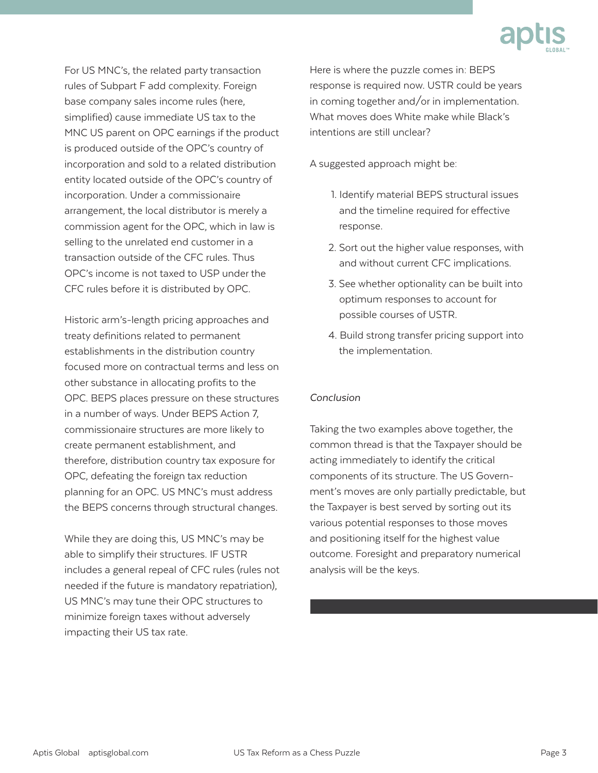

For US MNC's, the related party transaction rules of Subpart F add complexity. Foreign base company sales income rules (here, simplified) cause immediate US tax to the MNC US parent on OPC earnings if the product is produced outside of the OPC's country of incorporation and sold to a related distribution entity located outside of the OPC's country of incorporation. Under a commissionaire arrangement, the local distributor is merely a commission agent for the OPC, which in law is selling to the unrelated end customer in a transaction outside of the CFC rules. Thus OPC's income is not taxed to USP under the CFC rules before it is distributed by OPC.

Historic arm's-length pricing approaches and treaty definitions related to permanent establishments in the distribution country focused more on contractual terms and less on other substance in allocating profits to the OPC. BEPS places pressure on these structures in a number of ways. Under BEPS Action 7, commissionaire structures are more likely to create permanent establishment, and therefore, distribution country tax exposure for OPC, defeating the foreign tax reduction planning for an OPC. US MNC's must address the BEPS concerns through structural changes.

While they are doing this, US MNC's may be able to simplify their structures. IF USTR includes a general repeal of CFC rules (rules not needed if the future is mandatory repatriation), US MNC's may tune their OPC structures to minimize foreign taxes without adversely impacting their US tax rate.

Here is where the puzzle comes in: BEPS response is required now. USTR could be years in coming together and/or in implementation. What moves does White make while Black's intentions are still unclear?

A suggested approach might be:

- 1. Identify material BEPS structural issues and the timeline required for effective response.
- 2. Sort out the higher value responses, with and without current CFC implications.
- 3. See whether optionality can be built into optimum responses to account for possible courses of USTR.
- 4. Build strong transfer pricing support into the implementation.

## *Conclusion*

Taking the two examples above together, the common thread is that the Taxpayer should be acting immediately to identify the critical components of its structure. The US Government's moves are only partially predictable, but the Taxpayer is best served by sorting out its various potential responses to those moves and positioning itself for the highest value outcome. Foresight and preparatory numerical analysis will be the keys.